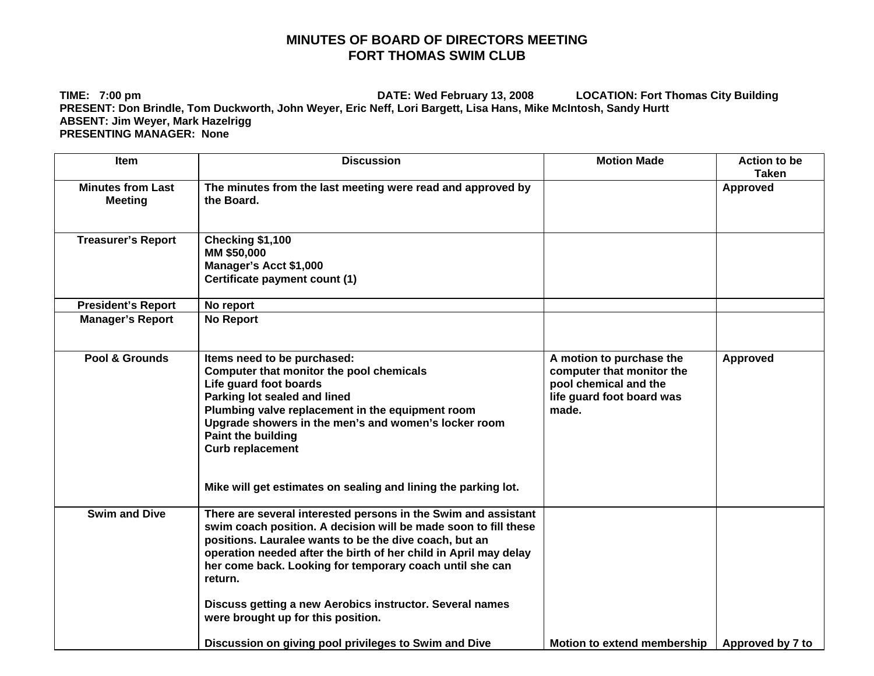## **MINUTES OF BOARD OF DIRECTORS MEETING FORT THOMAS SWIM CLUB**

**TIME: 7:00 pm DATE: Wed February 13, 2008 LOCATION: Fort Thomas City Building PRESENT: Don Brindle, Tom Duckworth, John Weyer, Eric Neff, Lori Bargett, Lisa Hans, Mike McIntosh, Sandy Hurtt ABSENT: Jim Weyer, Mark Hazelrigg PRESENTING MANAGER: None** 

| <b>Item</b>                                | <b>Discussion</b>                                                                                                                                                                                                                                                                                                                                                                                                                        | <b>Motion Made</b>                                                                                                   | <b>Action to be</b><br><b>Taken</b> |
|--------------------------------------------|------------------------------------------------------------------------------------------------------------------------------------------------------------------------------------------------------------------------------------------------------------------------------------------------------------------------------------------------------------------------------------------------------------------------------------------|----------------------------------------------------------------------------------------------------------------------|-------------------------------------|
| <b>Minutes from Last</b><br><b>Meeting</b> | The minutes from the last meeting were read and approved by<br>the Board.                                                                                                                                                                                                                                                                                                                                                                |                                                                                                                      | <b>Approved</b>                     |
| <b>Treasurer's Report</b>                  | Checking \$1,100<br>MM \$50,000<br>Manager's Acct \$1,000<br>Certificate payment count (1)                                                                                                                                                                                                                                                                                                                                               |                                                                                                                      |                                     |
| <b>President's Report</b>                  | No report                                                                                                                                                                                                                                                                                                                                                                                                                                |                                                                                                                      |                                     |
| <b>Manager's Report</b>                    | <b>No Report</b>                                                                                                                                                                                                                                                                                                                                                                                                                         |                                                                                                                      |                                     |
| Pool & Grounds                             | Items need to be purchased:<br>Computer that monitor the pool chemicals<br>Life guard foot boards<br>Parking lot sealed and lined<br>Plumbing valve replacement in the equipment room<br>Upgrade showers in the men's and women's locker room<br>Paint the building<br><b>Curb replacement</b><br>Mike will get estimates on sealing and lining the parking lot.                                                                         | A motion to purchase the<br>computer that monitor the<br>pool chemical and the<br>life guard foot board was<br>made. | Approved                            |
| <b>Swim and Dive</b>                       | There are several interested persons in the Swim and assistant<br>swim coach position. A decision will be made soon to fill these<br>positions. Lauralee wants to be the dive coach, but an<br>operation needed after the birth of her child in April may delay<br>her come back. Looking for temporary coach until she can<br>return.<br>Discuss getting a new Aerobics instructor. Several names<br>were brought up for this position. |                                                                                                                      |                                     |
|                                            | Discussion on giving pool privileges to Swim and Dive                                                                                                                                                                                                                                                                                                                                                                                    | <b>Motion to extend membership</b>                                                                                   | Approved by 7 to                    |